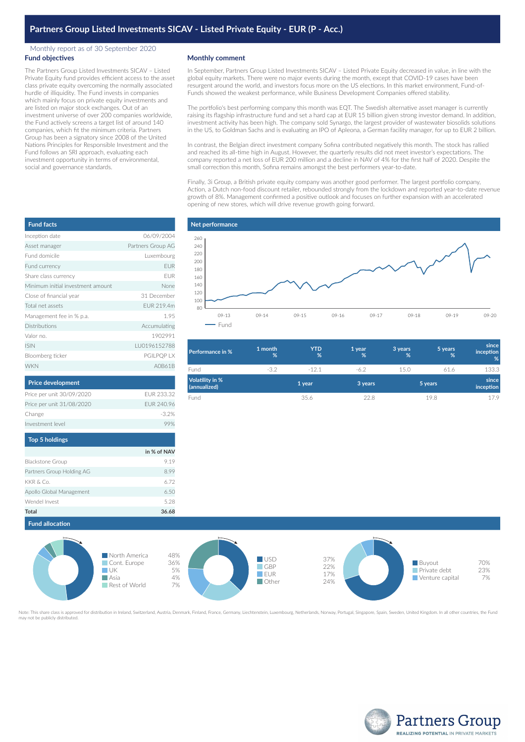## Monthly report as of 30 September 2020 **Fund objectives**

The Partners Group Listed Investments SICAV – Listed Private Equity fund provides efficient access to the asset class private equity overcoming the normally associated hurdle of illiquidity. The Fund invests in companies which mainly focus on private equity investments and are listed on major stock exchanges. Out of an investment universe of over 200 companies worldwide, the Fund actively screens a target list of around 140 companies, which fit the minimum criteria. Partners Group has been a signatory since 2008 of the United Nations Principles for Responsible Investment and the Fund follows an SRI approach, evaluating each investment opportunity in terms of environmental, social and governance standards.

## **Monthly comment**

In September, Partners Group Listed Investments SICAV – Listed Private Equity decreased in value, in line with the global equity markets. There were no major events during the month, except that COVID-19 cases have been resurgent around the world, and investors focus more on the US elections. In this market environment, Fund-of-Funds showed the weakest performance, while Business Development Companies offered stability.

The portfolio's best performing company this month was EQT. The Swedish alternative asset manager is currently raising its flagship infrastructure fund and set a hard cap at EUR 15 billion given strong investor demand. In addition, investment activity has been high. The company sold Synargo, the largest provider of wastewater biosolids solutions in the US, to Goldman Sachs and is evaluating an IPO of Apleona, a German facility manager, for up to EUR 2 billion.

In contrast, the Belgian direct investment company Sofina contributed negatively this month. The stock has rallied and reached its all-time high in August. However, the quarterly results did not meet investor's expectations. The company reported a net loss of EUR 200 million and a decline in NAV of 4% for the first half of 2020. Despite the small correction this month, Sofina remains amongst the best performers year-to-date.

Finally, 3i Group, a British private equity company was another good performer. The largest portfolio company, Action, a Dutch non-food discount retailer, rebounded strongly from the lockdown and reported year-to-date revenue growth of 8%. Management confirmed a positive outlook and focuses on further expansion with an accelerated opening of new stores, which will drive revenue growth going forward.



| <b>Performance in %</b>         | 1 month<br>% | YTD<br>% | 1 year<br>% | 3 years<br>% | 5 years<br>% | since<br>inception<br>% |
|---------------------------------|--------------|----------|-------------|--------------|--------------|-------------------------|
| Fund                            | $-3.2$       | $-121$   | $-6.2$      | 15.0         | 61.6         | 133.3                   |
| Volatility in %<br>(annualized) |              | 1 year   | 3 years     |              | 5 years      | since<br>inception      |
| Fund                            |              | 35.6     | 22.8        |              | 19.8         | 17.9                    |

| <b>Fund facts</b>                 |                   |
|-----------------------------------|-------------------|
| Inception date                    | 06/09/2004        |
| Asset manager                     | Partners Group AG |
| Fund domicile                     | Luxembourg        |
| Fund currency                     | <b>EUR</b>        |
| Share class currency              | EUR               |
| Minimum initial investment amount | None              |
| Close of financial year           | 31 December       |
| Total net assets                  | FUR 219.4m        |
| Management fee in % p.a.          | 1.95              |
| Distributions                     | Accumulating      |
| Valor no.                         | 1902991           |
| <b>ISIN</b>                       | LU0196152788      |
| Bloomberg ticker                  | PGILPQP LX        |
| <b>WKN</b>                        | A0B61B            |
| <b>Price development</b>          |                   |

| Price per unit 30/09/2020 | FUR 233.32 |
|---------------------------|------------|
| Price per unit 31/08/2020 | FUR 240.96 |
| Change                    | $-3.2\%$   |
| Investment level          |            |
| <b>Top 5 holdings</b>     |            |
|                           |            |

|                           | in % of NAV |
|---------------------------|-------------|
| <b>Blackstone Group</b>   | 9.19        |
| Partners Group Holding AG | 8.99        |
| KKR & Co.                 | 6.72        |
| Apollo Global Management  | 6.50        |
| Wendel Invest             | 5.28        |
| <b>Total</b>              | 36.68       |

**Fund allocation**



ed for distribution in Ireland, Switzerland, Austria, Denmark, Finland, France, Germany, Liechtenstein, Luxembourg, Netherlands, Norway, Portugal, Singapore, Spain, Sweden, United Kingdom. In all other countries, the Fund ay not be publicly distributed